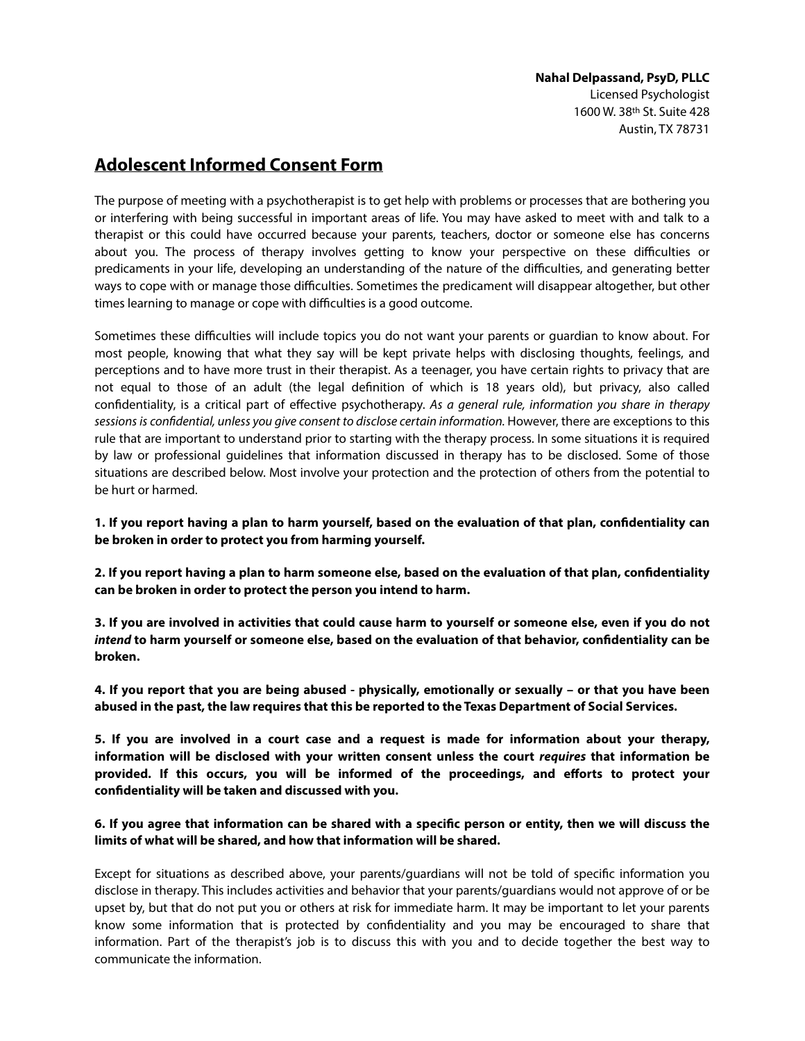## **Adolescent Informed Consent Form**

The purpose of meeting with a psychotherapist is to get help with problems or processes that are bothering you or interfering with being successful in important areas of life. You may have asked to meet with and talk to a therapist or this could have occurred because your parents, teachers, doctor or someone else has concerns about you. The process of therapy involves getting to know your perspective on these difficulties or predicaments in your life, developing an understanding of the nature of the difculties, and generating better ways to cope with or manage those difculties. Sometimes the predicament will disappear altogether, but other times learning to manage or cope with difficulties is a good outcome.

Sometimes these difculties will include topics you do not want your parents or guardian to know about. For most people, knowing that what they say will be kept private helps with disclosing thoughts, feelings, and perceptions and to have more trust in their therapist. As a teenager, you have certain rights to privacy that are not equal to those of an adult (the legal defnition of which is 18 years old), but privacy, also called confdentiality, is a critical part of efective psychotherapy. *As a general rule, information you share in therapy sessions is con*f*dential, unless you give consent to disclose certain information.* However, there are exceptions to this rule that are important to understand prior to starting with the therapy process. In some situations it is required by law or professional guidelines that information discussed in therapy has to be disclosed. Some of those situations are described below. Most involve your protection and the protection of others from the potential to be hurt or harmed.

**1. If you report having a plan to harm yourself, based on the evaluation of that plan, confdentiality can be broken in order to protect you from harming yourself.** 

**2. If you report having a plan to harm someone else, based on the evaluation of that plan, confdentiality can be broken in order to protect the person you intend to harm.** 

**3. If you are involved in activities that could cause harm to yourself or someone else, even if you do not**  *intend* **to harm yourself or someone else, based on the evaluation of that behavior, confdentiality can be broken.** 

**4. If you report that you are being abused - physically, emotionally or sexually – or that you have been abused in the past, the law requires that this be reported to the Texas Department of Social Services.** 

**5. If you are involved in a court case and a request is made for information about your therapy, information will be disclosed with your written consent unless the court** *requires* **that information be provided. If this occurs, you will be informed of the proceedings, and eforts to protect your confdentiality will be taken and discussed with you.** 

## **6. If you agree that information can be shared with a specifc person or entity, then we will discuss the limits of what will be shared, and how that information will be shared.**

Except for situations as described above, your parents/guardians will not be told of specifc information you disclose in therapy. This includes activities and behavior that your parents/guardians would not approve of or be upset by, but that do not put you or others at risk for immediate harm. It may be important to let your parents know some information that is protected by confdentiality and you may be encouraged to share that information. Part of the therapist's job is to discuss this with you and to decide together the best way to communicate the information.